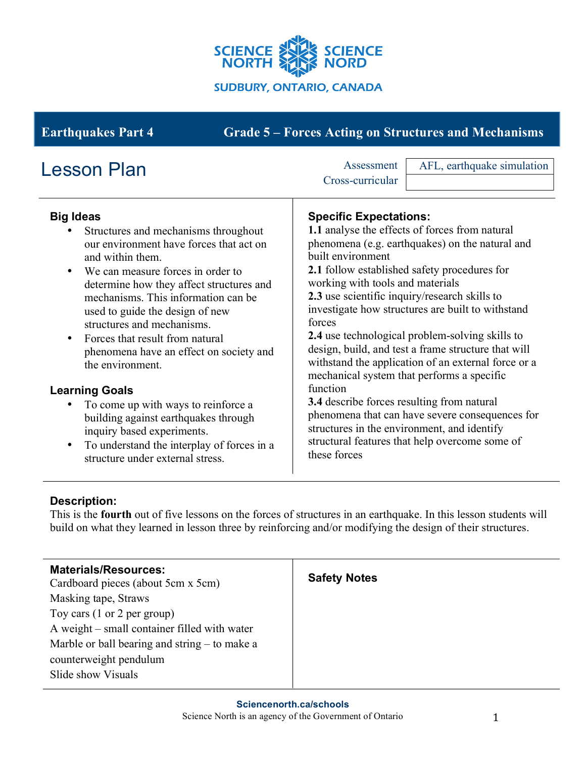

# **Earthquakes Part 4 Grade 5 – Forces Acting on Structures and Mechanisms**

| <b>Lesson Plan</b>                                                                                                                                                                                                                                                                                                                                                                                                                                                                                                                                                                                                                                                   | AFL, earthquake simulation<br>Assessment<br>Cross-curricular                                                                                                                                                                                                                                                                                                                                                                                                                                                                                                                                                                                                                                                                                                                                                                  |
|----------------------------------------------------------------------------------------------------------------------------------------------------------------------------------------------------------------------------------------------------------------------------------------------------------------------------------------------------------------------------------------------------------------------------------------------------------------------------------------------------------------------------------------------------------------------------------------------------------------------------------------------------------------------|-------------------------------------------------------------------------------------------------------------------------------------------------------------------------------------------------------------------------------------------------------------------------------------------------------------------------------------------------------------------------------------------------------------------------------------------------------------------------------------------------------------------------------------------------------------------------------------------------------------------------------------------------------------------------------------------------------------------------------------------------------------------------------------------------------------------------------|
| <b>Big Ideas</b><br>Structures and mechanisms throughout<br>our environment have forces that act on<br>and within them.<br>We can measure forces in order to<br>determine how they affect structures and<br>mechanisms. This information can be<br>used to guide the design of new<br>structures and mechanisms.<br>Forces that result from natural<br>$\bullet$<br>phenomena have an effect on society and<br>the environment.<br><b>Learning Goals</b><br>To come up with ways to reinforce a<br>building against earthquakes through<br>inquiry based experiments.<br>To understand the interplay of forces in a<br>$\bullet$<br>structure under external stress. | <b>Specific Expectations:</b><br>1.1 analyse the effects of forces from natural<br>phenomena (e.g. earthquakes) on the natural and<br>built environment<br><b>2.1</b> follow established safety procedures for<br>working with tools and materials<br>2.3 use scientific inquiry/research skills to<br>investigate how structures are built to withstand<br>forces<br><b>2.4</b> use technological problem-solving skills to<br>design, build, and test a frame structure that will<br>withstand the application of an external force or a<br>mechanical system that performs a specific<br>function<br><b>3.4</b> describe forces resulting from natural<br>phenomena that can have severe consequences for<br>structures in the environment, and identify<br>structural features that help overcome some of<br>these forces |

### **Description:**

This is the **fourth** out of five lessons on the forces of structures in an earthquake. In this lesson students will build on what they learned in lesson three by reinforcing and/or modifying the design of their structures.

| <b>Materials/Resources:</b><br>Cardboard pieces (about 5cm x 5cm) | <b>Safety Notes</b> |
|-------------------------------------------------------------------|---------------------|
| Masking tape, Straws                                              |                     |
| Toy cars $(1 \text{ or } 2 \text{ per group})$                    |                     |
| A weight – small container filled with water                      |                     |
| Marble or ball bearing and string – to make a                     |                     |
| counterweight pendulum                                            |                     |
| Slide show Visuals                                                |                     |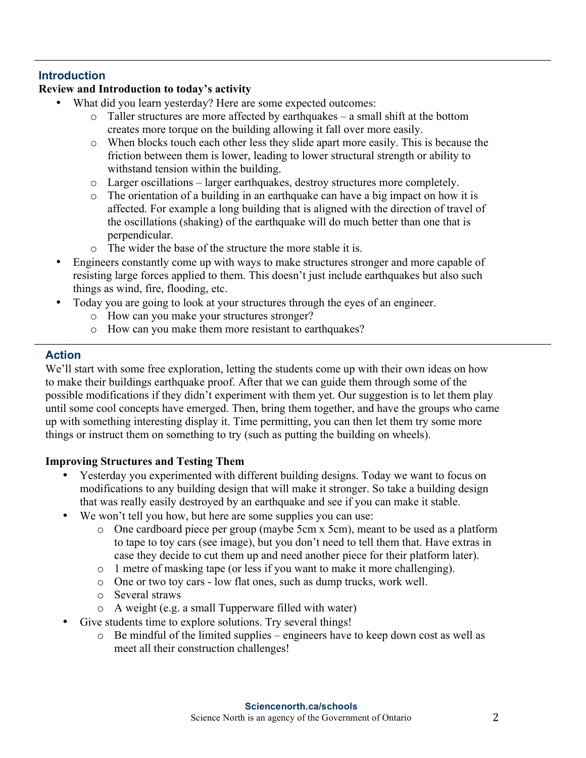### **Introduction**

## **Review and Introduction to today's activity**

- What did you learn yesterday? Here are some expected outcomes:
	- o Taller structures are more affected by earthquakes a small shift at the bottom creates more torque on the building allowing it fall over more easily.
	- o When blocks touch each other less they slide apart more easily. This is because the friction between them is lower, leading to lower structural strength or ability to withstand tension within the building.
	- o Larger oscillations larger earthquakes, destroy structures more completely.
	- o The orientation of a building in an earthquake can have a big impact on how it is affected. For example a long building that is aligned with the direction of travel of the oscillations (shaking) of the earthquake will do much better than one that is perpendicular.
	- o The wider the base of the structure the more stable it is.
- Engineers constantly come up with ways to make structures stronger and more capable of resisting large forces applied to them. This doesn't just include earthquakes but also such things as wind, fire, flooding, etc.
- Today you are going to look at your structures through the eyes of an engineer.
	- o How can you make your structures stronger?
	- o How can you make them more resistant to earthquakes?

#### **Action**

We'll start with some free exploration, letting the students come up with their own ideas on how to make their buildings earthquake proof. After that we can guide them through some of the possible modifications if they didn't experiment with them yet. Our suggestion is to let them play until some cool concepts have emerged. Then, bring them together, and have the groups who came up with something interesting display it. Time permitting, you can then let them try some more things or instruct them on something to try (such as putting the building on wheels).

#### **Improving Structures and Testing Them**

- Yesterday you experimented with different building designs. Today we want to focus on modifications to any building design that will make it stronger. So take a building design that was really easily destroyed by an earthquake and see if you can make it stable.
- We won't tell you how, but here are some supplies you can use:
	- o One cardboard piece per group (maybe 5cm x 5cm), meant to be used as a platform to tape to toy cars (see image), but you don't need to tell them that. Have extras in case they decide to cut them up and need another piece for their platform later).
	- o 1 metre of masking tape (or less if you want to make it more challenging).
	- o One or two toy cars low flat ones, such as dump trucks, work well.
	- o Several straws
	- o A weight (e.g. a small Tupperware filled with water)
- Give students time to explore solutions. Try several things!
	- o Be mindful of the limited supplies engineers have to keep down cost as well as meet all their construction challenges!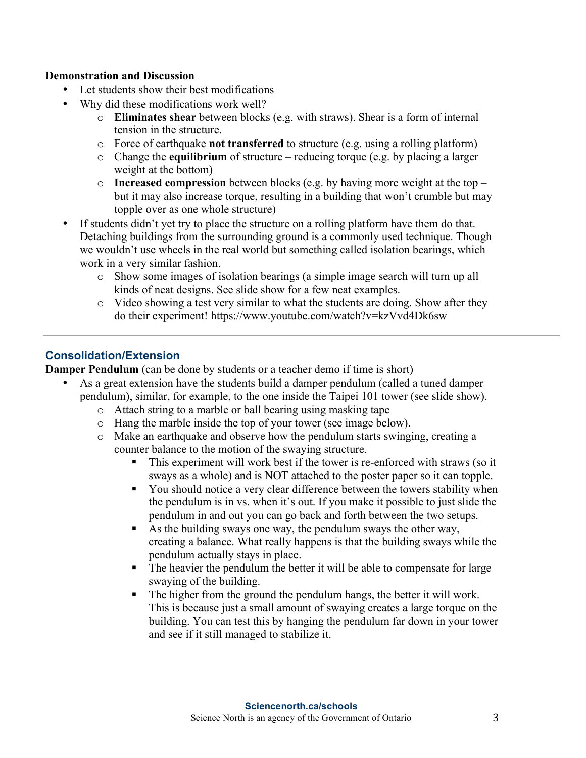#### **Demonstration and Discussion**

- Let students show their best modifications
- Why did these modifications work well?
	- o **Eliminates shear** between blocks (e.g. with straws). Shear is a form of internal tension in the structure.
	- o Force of earthquake **not transferred** to structure (e.g. using a rolling platform)
	- o Change the **equilibrium** of structure reducing torque (e.g. by placing a larger weight at the bottom)
	- o **Increased compression** between blocks (e.g. by having more weight at the top but it may also increase torque, resulting in a building that won't crumble but may topple over as one whole structure)
- If students didn't yet try to place the structure on a rolling platform have them do that. Detaching buildings from the surrounding ground is a commonly used technique. Though we wouldn't use wheels in the real world but something called isolation bearings, which work in a very similar fashion.
	- o Show some images of isolation bearings (a simple image search will turn up all kinds of neat designs. See slide show for a few neat examples.
	- o Video showing a test very similar to what the students are doing. Show after they do their experiment! https://www.youtube.com/watch?v=kzVvd4Dk6sw

#### **Consolidation/Extension**

**Damper Pendulum** (can be done by students or a teacher demo if time is short)

- As a great extension have the students build a damper pendulum (called a tuned damper pendulum), similar, for example, to the one inside the Taipei 101 tower (see slide show).
	- o Attach string to a marble or ball bearing using masking tape
	- o Hang the marble inside the top of your tower (see image below).
	- o Make an earthquake and observe how the pendulum starts swinging, creating a counter balance to the motion of the swaying structure.
		- This experiment will work best if the tower is re-enforced with straws (so it sways as a whole) and is NOT attached to the poster paper so it can topple.
		- § You should notice a very clear difference between the towers stability when the pendulum is in vs. when it's out. If you make it possible to just slide the pendulum in and out you can go back and forth between the two setups.
		- As the building sways one way, the pendulum sways the other way, creating a balance. What really happens is that the building sways while the pendulum actually stays in place.
		- The heavier the pendulum the better it will be able to compensate for large swaying of the building.
		- The higher from the ground the pendulum hangs, the better it will work. This is because just a small amount of swaying creates a large torque on the building. You can test this by hanging the pendulum far down in your tower and see if it still managed to stabilize it.